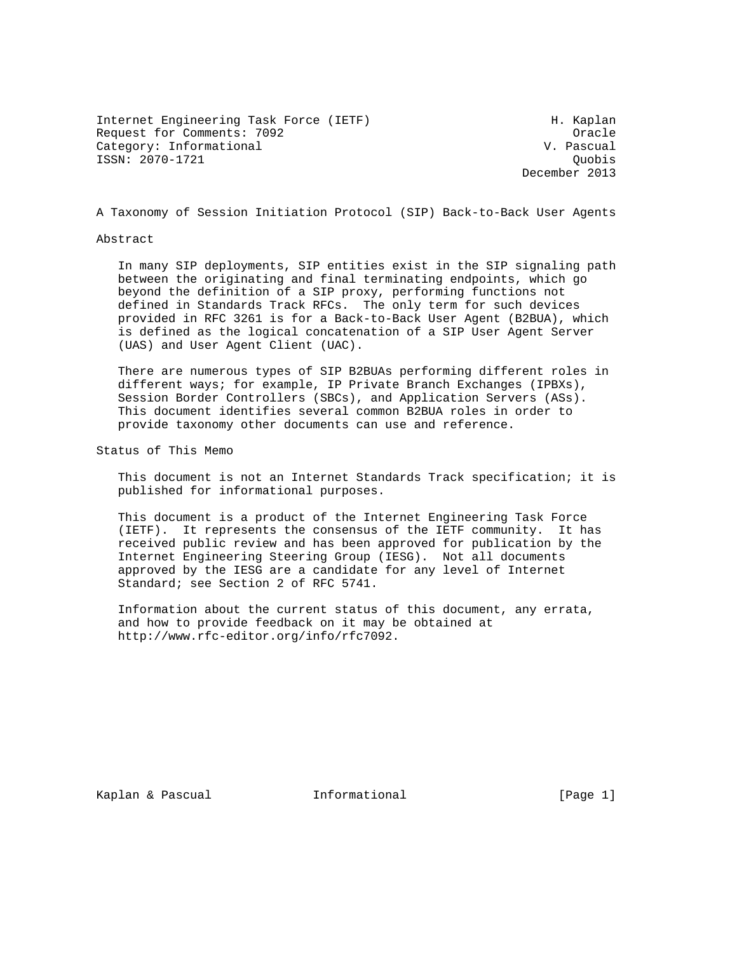Internet Engineering Task Force (IETF) The Muslim H. Kaplan Request for Comments: 7092 and the control of the Control of the Control of the Control of the Control of the Oracle Category: Informational values of the Category: Informational ISSN: 2070-1721 Quobis

December 2013

A Taxonomy of Session Initiation Protocol (SIP) Back-to-Back User Agents

#### Abstract

 In many SIP deployments, SIP entities exist in the SIP signaling path between the originating and final terminating endpoints, which go beyond the definition of a SIP proxy, performing functions not defined in Standards Track RFCs. The only term for such devices provided in RFC 3261 is for a Back-to-Back User Agent (B2BUA), which is defined as the logical concatenation of a SIP User Agent Server (UAS) and User Agent Client (UAC).

 There are numerous types of SIP B2BUAs performing different roles in different ways; for example, IP Private Branch Exchanges (IPBXs), Session Border Controllers (SBCs), and Application Servers (ASs). This document identifies several common B2BUA roles in order to provide taxonomy other documents can use and reference.

Status of This Memo

 This document is not an Internet Standards Track specification; it is published for informational purposes.

 This document is a product of the Internet Engineering Task Force (IETF). It represents the consensus of the IETF community. It has received public review and has been approved for publication by the Internet Engineering Steering Group (IESG). Not all documents approved by the IESG are a candidate for any level of Internet Standard; see Section 2 of RFC 5741.

 Information about the current status of this document, any errata, and how to provide feedback on it may be obtained at http://www.rfc-editor.org/info/rfc7092.

Kaplan & Pascual **Informational** [Page 1]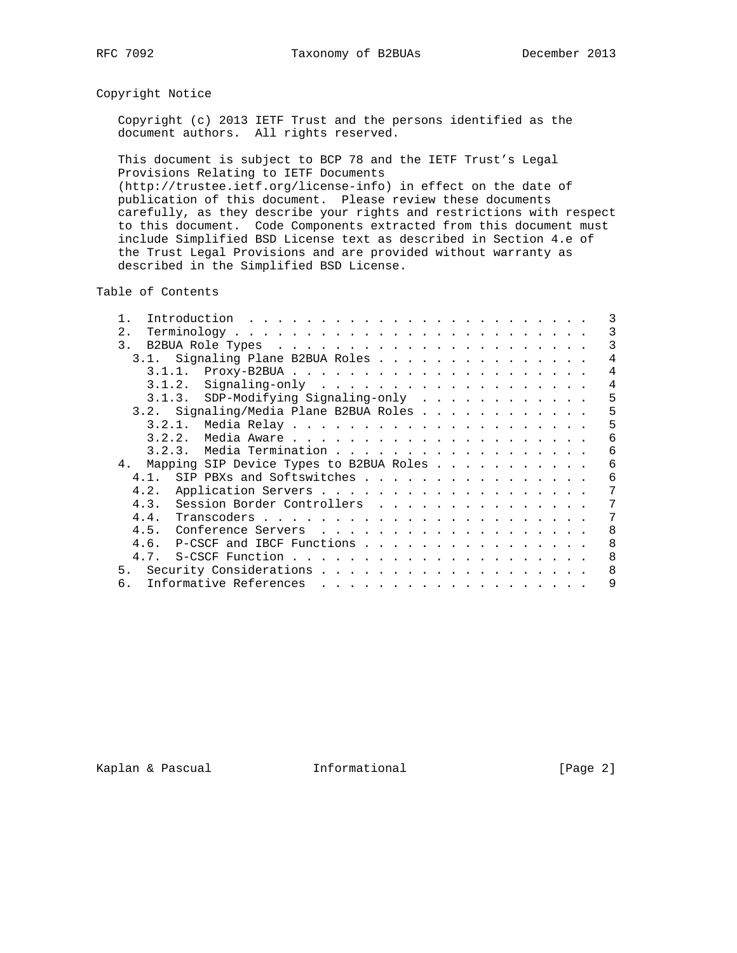## Copyright Notice

 Copyright (c) 2013 IETF Trust and the persons identified as the document authors. All rights reserved.

 This document is subject to BCP 78 and the IETF Trust's Legal Provisions Relating to IETF Documents (http://trustee.ietf.org/license-info) in effect on the date of publication of this document. Please review these documents carefully, as they describe your rights and restrictions with respect to this document. Code Components extracted from this document must include Simplified BSD License text as described in Section 4.e of the Trust Legal Provisions and are provided without warranty as described in the Simplified BSD License.

Table of Contents

| $2$ .                                         | 3              |
|-----------------------------------------------|----------------|
| 3.                                            | 3              |
| 3.1. Signaling Plane B2BUA Roles              | 4              |
|                                               | $\overline{4}$ |
| Signaling-only $\ldots$<br>3.1.2.             | $\overline{4}$ |
| 3.1.3. SDP-Modifying Signaling-only           | 5              |
| 3.2. Signaling/Media Plane B2BUA Roles        | 5              |
|                                               | 5              |
|                                               | 6              |
| 3.2.3. Media Termination                      | 6              |
| Mapping SIP Device Types to B2BUA Roles<br>4. | 6              |
| SIP PBXs and Softswitches<br>4.1.             | 6              |
|                                               |                |
| 4.3. Session Border Controllers               | 7              |
|                                               | 7              |
|                                               | 8              |
| 4.6. P-CSCF and IBCF Functions                | 8              |
|                                               | 8              |
|                                               | 8              |
| б.                                            | 9              |
|                                               |                |

Kaplan & Pascual **Informational** [Page 2]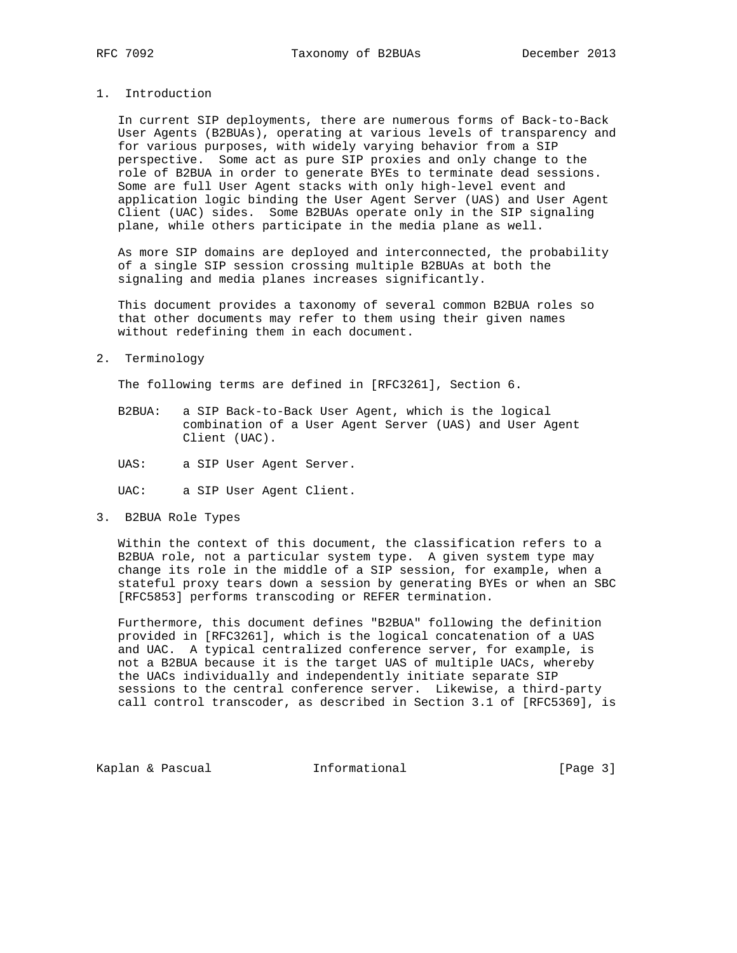## 1. Introduction

 In current SIP deployments, there are numerous forms of Back-to-Back User Agents (B2BUAs), operating at various levels of transparency and for various purposes, with widely varying behavior from a SIP perspective. Some act as pure SIP proxies and only change to the role of B2BUA in order to generate BYEs to terminate dead sessions. Some are full User Agent stacks with only high-level event and application logic binding the User Agent Server (UAS) and User Agent Client (UAC) sides. Some B2BUAs operate only in the SIP signaling plane, while others participate in the media plane as well.

 As more SIP domains are deployed and interconnected, the probability of a single SIP session crossing multiple B2BUAs at both the signaling and media planes increases significantly.

 This document provides a taxonomy of several common B2BUA roles so that other documents may refer to them using their given names without redefining them in each document.

#### 2. Terminology

The following terms are defined in [RFC3261], Section 6.

- B2BUA: a SIP Back-to-Back User Agent, which is the logical combination of a User Agent Server (UAS) and User Agent Client (UAC).
- UAS: a SIP User Agent Server.
- UAC: a SIP User Agent Client.
- 3. B2BUA Role Types

 Within the context of this document, the classification refers to a B2BUA role, not a particular system type. A given system type may change its role in the middle of a SIP session, for example, when a stateful proxy tears down a session by generating BYEs or when an SBC [RFC5853] performs transcoding or REFER termination.

 Furthermore, this document defines "B2BUA" following the definition provided in [RFC3261], which is the logical concatenation of a UAS and UAC. A typical centralized conference server, for example, is not a B2BUA because it is the target UAS of multiple UACs, whereby the UACs individually and independently initiate separate SIP sessions to the central conference server. Likewise, a third-party call control transcoder, as described in Section 3.1 of [RFC5369], is

Kaplan & Pascual **Informational** [Page 3]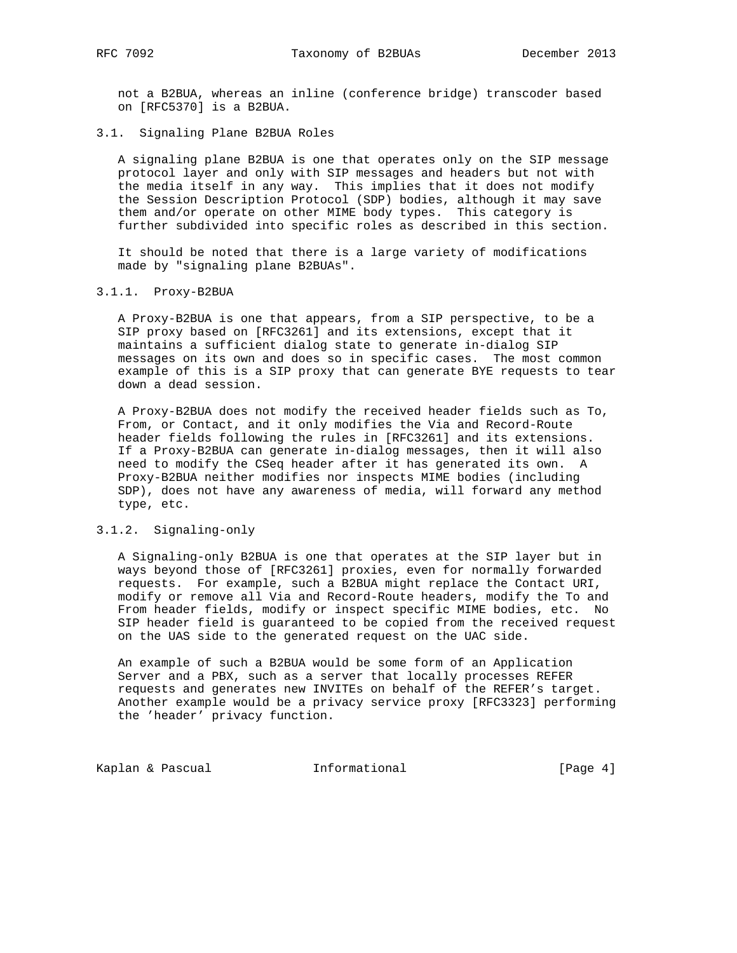not a B2BUA, whereas an inline (conference bridge) transcoder based on [RFC5370] is a B2BUA.

3.1. Signaling Plane B2BUA Roles

 A signaling plane B2BUA is one that operates only on the SIP message protocol layer and only with SIP messages and headers but not with the media itself in any way. This implies that it does not modify the Session Description Protocol (SDP) bodies, although it may save them and/or operate on other MIME body types. This category is further subdivided into specific roles as described in this section.

 It should be noted that there is a large variety of modifications made by "signaling plane B2BUAs".

### 3.1.1. Proxy-B2BUA

 A Proxy-B2BUA is one that appears, from a SIP perspective, to be a SIP proxy based on [RFC3261] and its extensions, except that it maintains a sufficient dialog state to generate in-dialog SIP messages on its own and does so in specific cases. The most common example of this is a SIP proxy that can generate BYE requests to tear down a dead session.

 A Proxy-B2BUA does not modify the received header fields such as To, From, or Contact, and it only modifies the Via and Record-Route header fields following the rules in [RFC3261] and its extensions. If a Proxy-B2BUA can generate in-dialog messages, then it will also need to modify the CSeq header after it has generated its own. A Proxy-B2BUA neither modifies nor inspects MIME bodies (including SDP), does not have any awareness of media, will forward any method type, etc.

### 3.1.2. Signaling-only

 A Signaling-only B2BUA is one that operates at the SIP layer but in ways beyond those of [RFC3261] proxies, even for normally forwarded requests. For example, such a B2BUA might replace the Contact URI, modify or remove all Via and Record-Route headers, modify the To and From header fields, modify or inspect specific MIME bodies, etc. No SIP header field is guaranteed to be copied from the received request on the UAS side to the generated request on the UAC side.

 An example of such a B2BUA would be some form of an Application Server and a PBX, such as a server that locally processes REFER requests and generates new INVITEs on behalf of the REFER's target. Another example would be a privacy service proxy [RFC3323] performing the 'header' privacy function.

Kaplan & Pascual **Informational** [Page 4]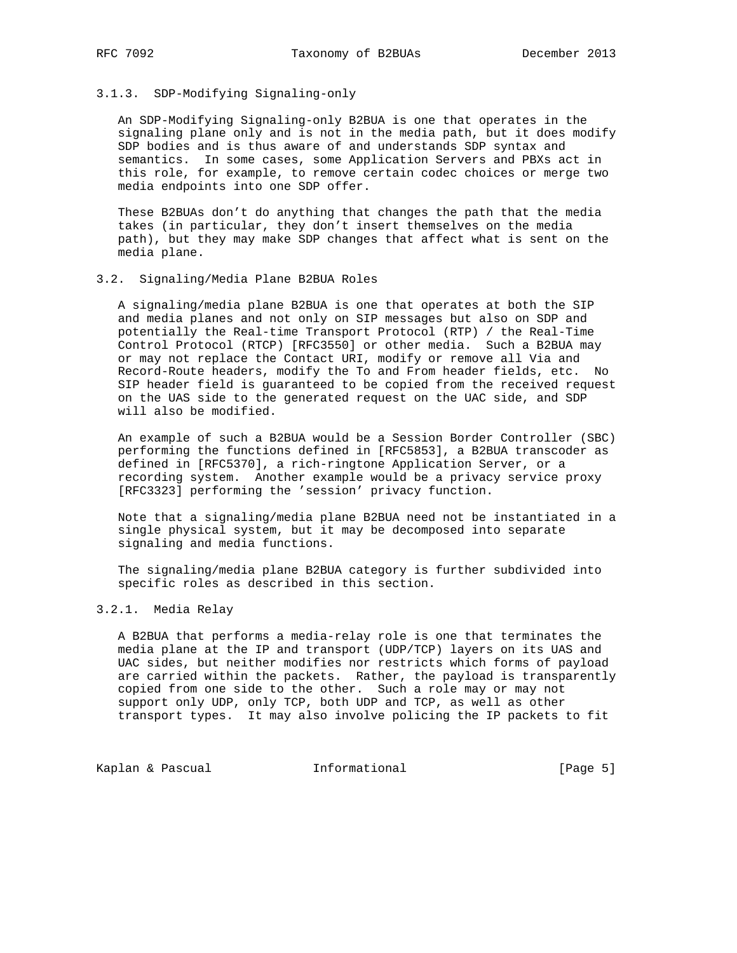## 3.1.3. SDP-Modifying Signaling-only

 An SDP-Modifying Signaling-only B2BUA is one that operates in the signaling plane only and is not in the media path, but it does modify SDP bodies and is thus aware of and understands SDP syntax and semantics. In some cases, some Application Servers and PBXs act in this role, for example, to remove certain codec choices or merge two media endpoints into one SDP offer.

 These B2BUAs don't do anything that changes the path that the media takes (in particular, they don't insert themselves on the media path), but they may make SDP changes that affect what is sent on the media plane.

### 3.2. Signaling/Media Plane B2BUA Roles

 A signaling/media plane B2BUA is one that operates at both the SIP and media planes and not only on SIP messages but also on SDP and potentially the Real-time Transport Protocol (RTP) / the Real-Time Control Protocol (RTCP) [RFC3550] or other media. Such a B2BUA may or may not replace the Contact URI, modify or remove all Via and Record-Route headers, modify the To and From header fields, etc. No SIP header field is guaranteed to be copied from the received request on the UAS side to the generated request on the UAC side, and SDP will also be modified.

 An example of such a B2BUA would be a Session Border Controller (SBC) performing the functions defined in [RFC5853], a B2BUA transcoder as defined in [RFC5370], a rich-ringtone Application Server, or a recording system. Another example would be a privacy service proxy [RFC3323] performing the 'session' privacy function.

 Note that a signaling/media plane B2BUA need not be instantiated in a single physical system, but it may be decomposed into separate signaling and media functions.

 The signaling/media plane B2BUA category is further subdivided into specific roles as described in this section.

## 3.2.1. Media Relay

 A B2BUA that performs a media-relay role is one that terminates the media plane at the IP and transport (UDP/TCP) layers on its UAS and UAC sides, but neither modifies nor restricts which forms of payload are carried within the packets. Rather, the payload is transparently copied from one side to the other. Such a role may or may not support only UDP, only TCP, both UDP and TCP, as well as other transport types. It may also involve policing the IP packets to fit

Kaplan & Pascual **Informational** [Page 5]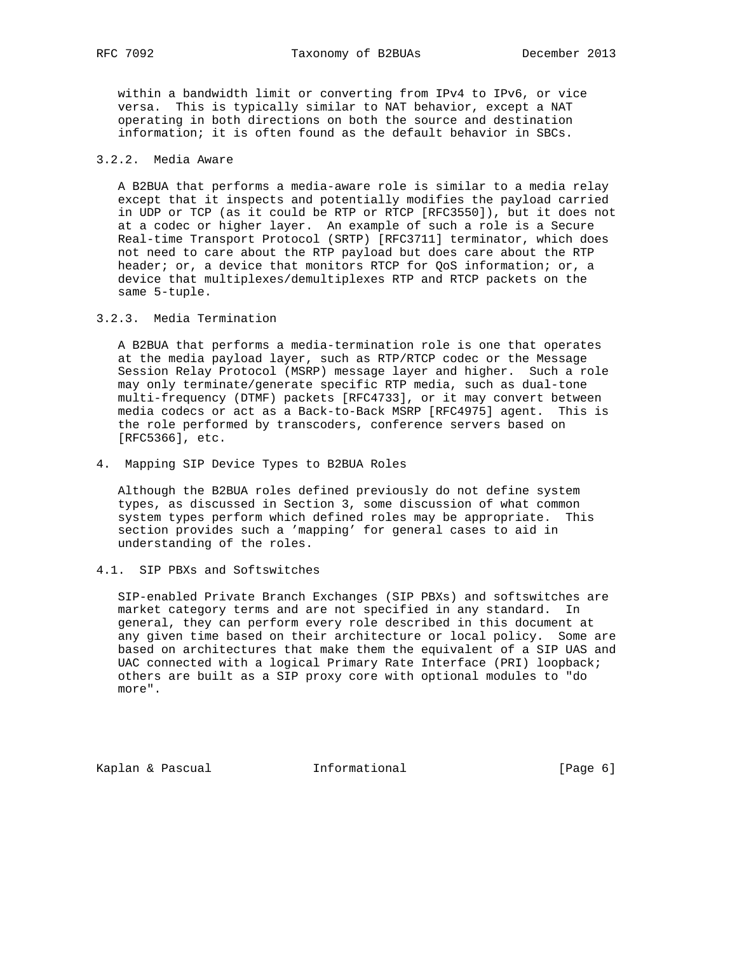within a bandwidth limit or converting from IPv4 to IPv6, or vice versa. This is typically similar to NAT behavior, except a NAT operating in both directions on both the source and destination information; it is often found as the default behavior in SBCs.

# 3.2.2. Media Aware

 A B2BUA that performs a media-aware role is similar to a media relay except that it inspects and potentially modifies the payload carried in UDP or TCP (as it could be RTP or RTCP [RFC3550]), but it does not at a codec or higher layer. An example of such a role is a Secure Real-time Transport Protocol (SRTP) [RFC3711] terminator, which does not need to care about the RTP payload but does care about the RTP header; or, a device that monitors RTCP for QoS information; or, a device that multiplexes/demultiplexes RTP and RTCP packets on the same 5-tuple.

3.2.3. Media Termination

 A B2BUA that performs a media-termination role is one that operates at the media payload layer, such as RTP/RTCP codec or the Message Session Relay Protocol (MSRP) message layer and higher. Such a role may only terminate/generate specific RTP media, such as dual-tone multi-frequency (DTMF) packets [RFC4733], or it may convert between media codecs or act as a Back-to-Back MSRP [RFC4975] agent. This is the role performed by transcoders, conference servers based on [RFC5366], etc.

4. Mapping SIP Device Types to B2BUA Roles

 Although the B2BUA roles defined previously do not define system types, as discussed in Section 3, some discussion of what common system types perform which defined roles may be appropriate. This section provides such a 'mapping' for general cases to aid in understanding of the roles.

# 4.1. SIP PBXs and Softswitches

 SIP-enabled Private Branch Exchanges (SIP PBXs) and softswitches are market category terms and are not specified in any standard. In general, they can perform every role described in this document at any given time based on their architecture or local policy. Some are based on architectures that make them the equivalent of a SIP UAS and UAC connected with a logical Primary Rate Interface (PRI) loopback; others are built as a SIP proxy core with optional modules to "do more".

Kaplan & Pascual **Informational** [Page 6]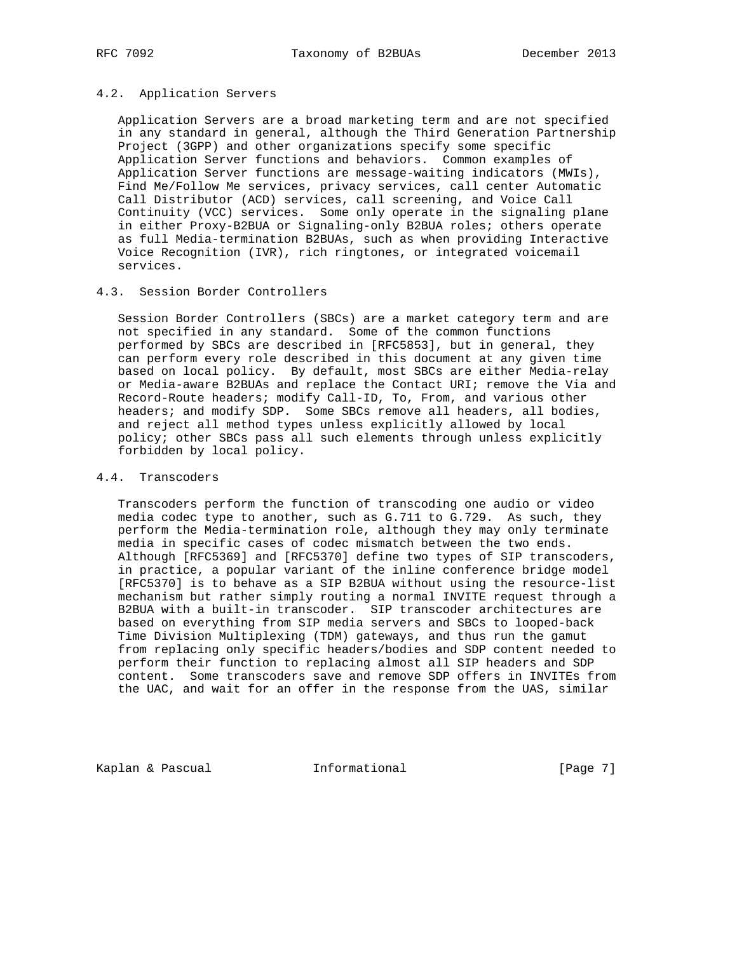#### 4.2. Application Servers

 Application Servers are a broad marketing term and are not specified in any standard in general, although the Third Generation Partnership Project (3GPP) and other organizations specify some specific Application Server functions and behaviors. Common examples of Application Server functions are message-waiting indicators (MWIs), Find Me/Follow Me services, privacy services, call center Automatic Call Distributor (ACD) services, call screening, and Voice Call Continuity (VCC) services. Some only operate in the signaling plane in either Proxy-B2BUA or Signaling-only B2BUA roles; others operate as full Media-termination B2BUAs, such as when providing Interactive Voice Recognition (IVR), rich ringtones, or integrated voicemail services.

### 4.3. Session Border Controllers

 Session Border Controllers (SBCs) are a market category term and are not specified in any standard. Some of the common functions performed by SBCs are described in [RFC5853], but in general, they can perform every role described in this document at any given time based on local policy. By default, most SBCs are either Media-relay or Media-aware B2BUAs and replace the Contact URI; remove the Via and Record-Route headers; modify Call-ID, To, From, and various other headers; and modify SDP. Some SBCs remove all headers, all bodies, and reject all method types unless explicitly allowed by local policy; other SBCs pass all such elements through unless explicitly forbidden by local policy.

## 4.4. Transcoders

 Transcoders perform the function of transcoding one audio or video media codec type to another, such as G.711 to G.729. As such, they perform the Media-termination role, although they may only terminate media in specific cases of codec mismatch between the two ends. Although [RFC5369] and [RFC5370] define two types of SIP transcoders, in practice, a popular variant of the inline conference bridge model [RFC5370] is to behave as a SIP B2BUA without using the resource-list mechanism but rather simply routing a normal INVITE request through a B2BUA with a built-in transcoder. SIP transcoder architectures are based on everything from SIP media servers and SBCs to looped-back Time Division Multiplexing (TDM) gateways, and thus run the gamut from replacing only specific headers/bodies and SDP content needed to perform their function to replacing almost all SIP headers and SDP content. Some transcoders save and remove SDP offers in INVITEs from the UAC, and wait for an offer in the response from the UAS, similar

Kaplan & Pascual **Informational Informational** [Page 7]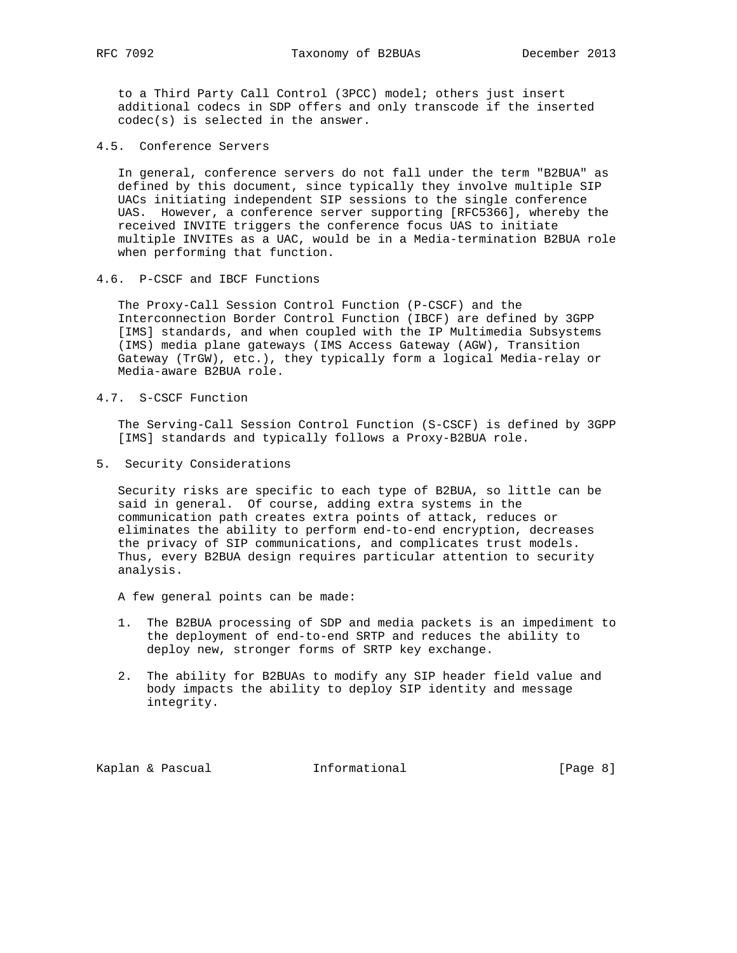to a Third Party Call Control (3PCC) model; others just insert additional codecs in SDP offers and only transcode if the inserted codec(s) is selected in the answer.

4.5. Conference Servers

 In general, conference servers do not fall under the term "B2BUA" as defined by this document, since typically they involve multiple SIP UACs initiating independent SIP sessions to the single conference UAS. However, a conference server supporting [RFC5366], whereby the received INVITE triggers the conference focus UAS to initiate multiple INVITEs as a UAC, would be in a Media-termination B2BUA role when performing that function.

4.6. P-CSCF and IBCF Functions

 The Proxy-Call Session Control Function (P-CSCF) and the Interconnection Border Control Function (IBCF) are defined by 3GPP [IMS] standards, and when coupled with the IP Multimedia Subsystems (IMS) media plane gateways (IMS Access Gateway (AGW), Transition Gateway (TrGW), etc.), they typically form a logical Media-relay or Media-aware B2BUA role.

4.7. S-CSCF Function

 The Serving-Call Session Control Function (S-CSCF) is defined by 3GPP [IMS] standards and typically follows a Proxy-B2BUA role.

5. Security Considerations

 Security risks are specific to each type of B2BUA, so little can be said in general. Of course, adding extra systems in the communication path creates extra points of attack, reduces or eliminates the ability to perform end-to-end encryption, decreases the privacy of SIP communications, and complicates trust models. Thus, every B2BUA design requires particular attention to security analysis.

A few general points can be made:

- 1. The B2BUA processing of SDP and media packets is an impediment to the deployment of end-to-end SRTP and reduces the ability to deploy new, stronger forms of SRTP key exchange.
- 2. The ability for B2BUAs to modify any SIP header field value and body impacts the ability to deploy SIP identity and message integrity.

Kaplan & Pascual **Informational** [Page 8]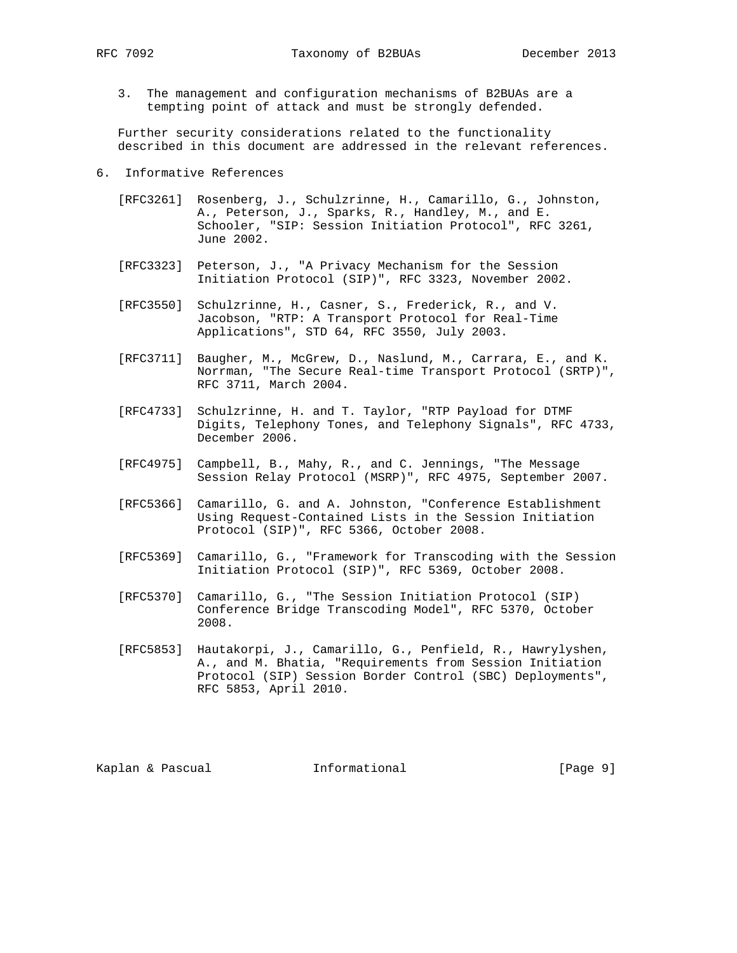3. The management and configuration mechanisms of B2BUAs are a tempting point of attack and must be strongly defended.

 Further security considerations related to the functionality described in this document are addressed in the relevant references.

- 6. Informative References
	- [RFC3261] Rosenberg, J., Schulzrinne, H., Camarillo, G., Johnston, A., Peterson, J., Sparks, R., Handley, M., and E. Schooler, "SIP: Session Initiation Protocol", RFC 3261, June 2002.
	- [RFC3323] Peterson, J., "A Privacy Mechanism for the Session Initiation Protocol (SIP)", RFC 3323, November 2002.
	- [RFC3550] Schulzrinne, H., Casner, S., Frederick, R., and V. Jacobson, "RTP: A Transport Protocol for Real-Time Applications", STD 64, RFC 3550, July 2003.
	- [RFC3711] Baugher, M., McGrew, D., Naslund, M., Carrara, E., and K. Norrman, "The Secure Real-time Transport Protocol (SRTP)", RFC 3711, March 2004.
	- [RFC4733] Schulzrinne, H. and T. Taylor, "RTP Payload for DTMF Digits, Telephony Tones, and Telephony Signals", RFC 4733, December 2006.
	- [RFC4975] Campbell, B., Mahy, R., and C. Jennings, "The Message Session Relay Protocol (MSRP)", RFC 4975, September 2007.
	- [RFC5366] Camarillo, G. and A. Johnston, "Conference Establishment Using Request-Contained Lists in the Session Initiation Protocol (SIP)", RFC 5366, October 2008.
	- [RFC5369] Camarillo, G., "Framework for Transcoding with the Session Initiation Protocol (SIP)", RFC 5369, October 2008.
	- [RFC5370] Camarillo, G., "The Session Initiation Protocol (SIP) Conference Bridge Transcoding Model", RFC 5370, October 2008.
	- [RFC5853] Hautakorpi, J., Camarillo, G., Penfield, R., Hawrylyshen, A., and M. Bhatia, "Requirements from Session Initiation Protocol (SIP) Session Border Control (SBC) Deployments", RFC 5853, April 2010.

Kaplan & Pascual **Informational** [Page 9]